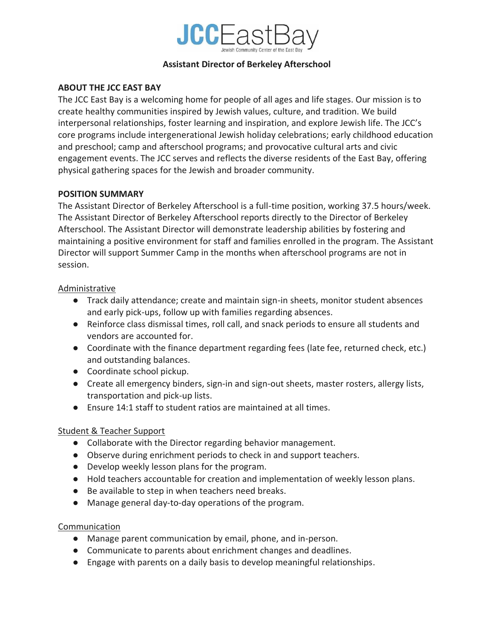

#### **Assistant Director of Berkeley Afterschool**

#### **ABOUT THE JCC EAST BAY**

The JCC East Bay is a welcoming home for people of all ages and life stages. Our mission is to create healthy communities inspired by Jewish values, culture, and tradition. We build interpersonal relationships, foster learning and inspiration, and explore Jewish life. The JCC's core programs include intergenerational Jewish holiday celebrations; early childhood education and preschool; camp and afterschool programs; and provocative cultural arts and civic engagement events. The JCC serves and reflects the diverse residents of the East Bay, offering physical gathering spaces for the Jewish and broader community.

### **POSITION SUMMARY**

The Assistant Director of Berkeley Afterschool is a full-time position, working 37.5 hours/week. The Assistant Director of Berkeley Afterschool reports directly to the Director of Berkeley Afterschool. The Assistant Director will demonstrate leadership abilities by fostering and maintaining a positive environment for staff and families enrolled in the program. The Assistant Director will support Summer Camp in the months when afterschool programs are not in session.

### Administrative

- Track daily attendance; create and maintain sign-in sheets, monitor student absences and early pick-ups, follow up with families regarding absences.
- Reinforce class dismissal times, roll call, and snack periods to ensure all students and vendors are accounted for.
- Coordinate with the finance department regarding fees (late fee, returned check, etc.) and outstanding balances.
- Coordinate school pickup.
- Create all emergency binders, sign-in and sign-out sheets, master rosters, allergy lists, transportation and pick-up lists.
- Ensure 14:1 staff to student ratios are maintained at all times.

# Student & Teacher Support

- Collaborate with the Director regarding behavior management.
- Observe during enrichment periods to check in and support teachers.
- Develop weekly lesson plans for the program.
- Hold teachers accountable for creation and implementation of weekly lesson plans.
- Be available to step in when teachers need breaks.
- Manage general day-to-day operations of the program.

# **Communication**

- Manage parent communication by email, phone, and in-person.
- Communicate to parents about enrichment changes and deadlines.
- Engage with parents on a daily basis to develop meaningful relationships.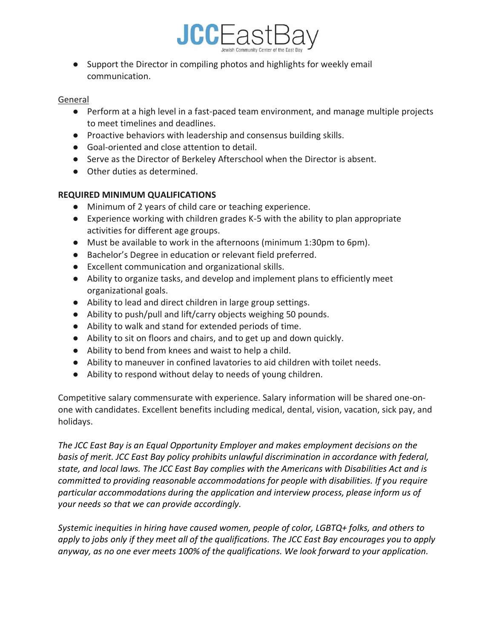

● Support the Director in compiling photos and highlights for weekly email communication.

#### General

- Perform at a high level in a fast-paced team environment, and manage multiple projects to meet timelines and deadlines.
- Proactive behaviors with leadership and consensus building skills.
- Goal-oriented and close attention to detail.
- Serve as the Director of Berkeley Afterschool when the Director is absent.
- Other duties as determined.

# **REQUIRED MINIMUM QUALIFICATIONS**

- Minimum of 2 years of child care or teaching experience.
- Experience working with children grades K-5 with the ability to plan appropriate activities for different age groups.
- Must be available to work in the afternoons (minimum 1:30pm to 6pm).
- Bachelor's Degree in education or relevant field preferred.
- Excellent communication and organizational skills.
- Ability to organize tasks, and develop and implement plans to efficiently meet organizational goals.
- Ability to lead and direct children in large group settings.
- Ability to push/pull and lift/carry objects weighing 50 pounds.
- Ability to walk and stand for extended periods of time.
- Ability to sit on floors and chairs, and to get up and down quickly.
- Ability to bend from knees and waist to help a child.
- Ability to maneuver in confined lavatories to aid children with toilet needs.
- Ability to respond without delay to needs of young children.

Competitive salary commensurate with experience. Salary information will be shared one-onone with candidates. Excellent benefits including medical, dental, vision, vacation, sick pay, and holidays.

*The JCC East Bay is an Equal Opportunity Employer and makes employment decisions on the basis of merit. JCC East Bay policy prohibits unlawful discrimination in accordance with federal, state, and local laws. The JCC East Bay complies with the Americans with Disabilities Act and is committed to providing reasonable accommodations for people with disabilities. If you require particular accommodations during the application and interview process, please inform us of your needs so that we can provide accordingly.*

*Systemic inequities in hiring have caused women, people of color, LGBTQ+ folks, and others to apply to jobs only if they meet all of the qualifications. The JCC East Bay encourages you to apply anyway, as no one ever meets 100% of the qualifications. We look forward to your application.*